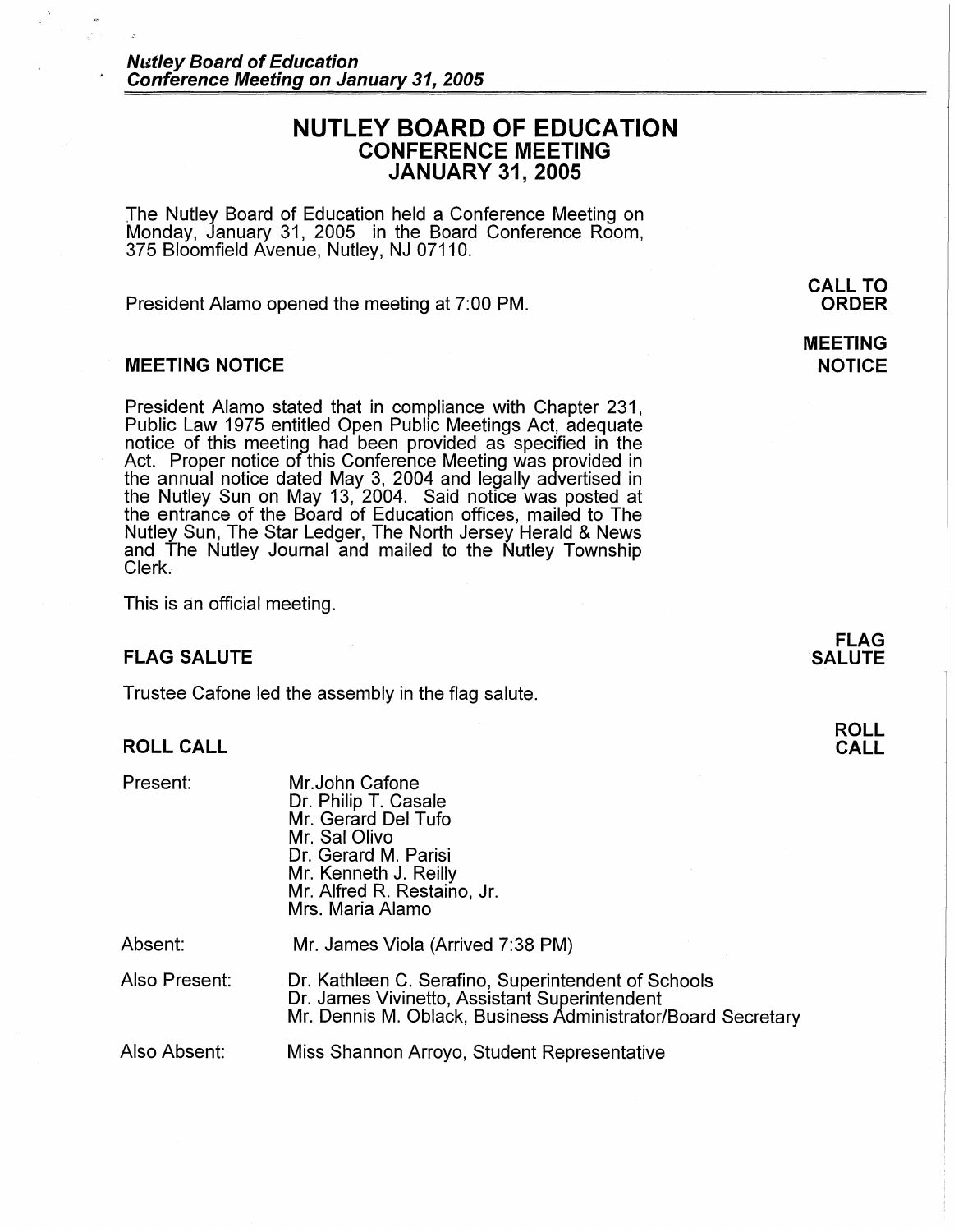# **NUTLEY BOARD OF EDUCATION CONFERENCE MEETING JANUARY 31, 2005**

The Nutley Board of Education held a Conference Meeting on Monday, January 31, 2005 in the Board Conference Room, 375 Bloomfield Avenue, Nutley, NJ 07110.

President Alamo opened the meeting at 7:00 PM.

### **MEETING NOTICE**

President Alamo stated that in compliance with Chapter 231, Public Law 1975 entitled Open Public Meetings Act, adequate notice of this meeting had been provided as specified in the Act. Proper notice of this Conference Meeting was provided in the annual notice dated May 3, 2004 and legally advertised in the Nutley Sun on May 13, 2004. Said notice was posted at the entrance of the Board of Education offices, mailed to The Nutley Sun, The Star Ledger, The North Jersey Herald & News and The Nutley Journal and mailed to the Nutley Township Clerk.

This is an official meeting.

### **FLAG SALUTE**

Trustee Catone led the assembly in the flag salute.

# **ROLL CALL**

| Present: | Mr.John Cafone<br>Dr. Philip T. Casale<br>Mr. Gerard Del Tufo<br>Mr. Sal Olivo<br>Dr. Gerard M. Parisi<br>Mr. Kenneth J. Reilly<br>Mr. Alfred R. Restaino, Jr.<br>Mrs. Maria Alamo |
|----------|------------------------------------------------------------------------------------------------------------------------------------------------------------------------------------|
| Absent:  | Mr. James Viola (Arrived 7:38 PM)                                                                                                                                                  |

Also Present: Dr. Kathleen C. Serafino, Superintendent of Schools Dr. James Vivinetto, Assistant Superintendent Mr. Dennis M. Oblack, Business Administrator/Board Secretary

Also Absent: Miss Shannon Arroyo, Student Representative **CALL TO ORDER** 

**MEETING NOTICE** 

> **FLAG SALUTE**

> > **ROLL CALL**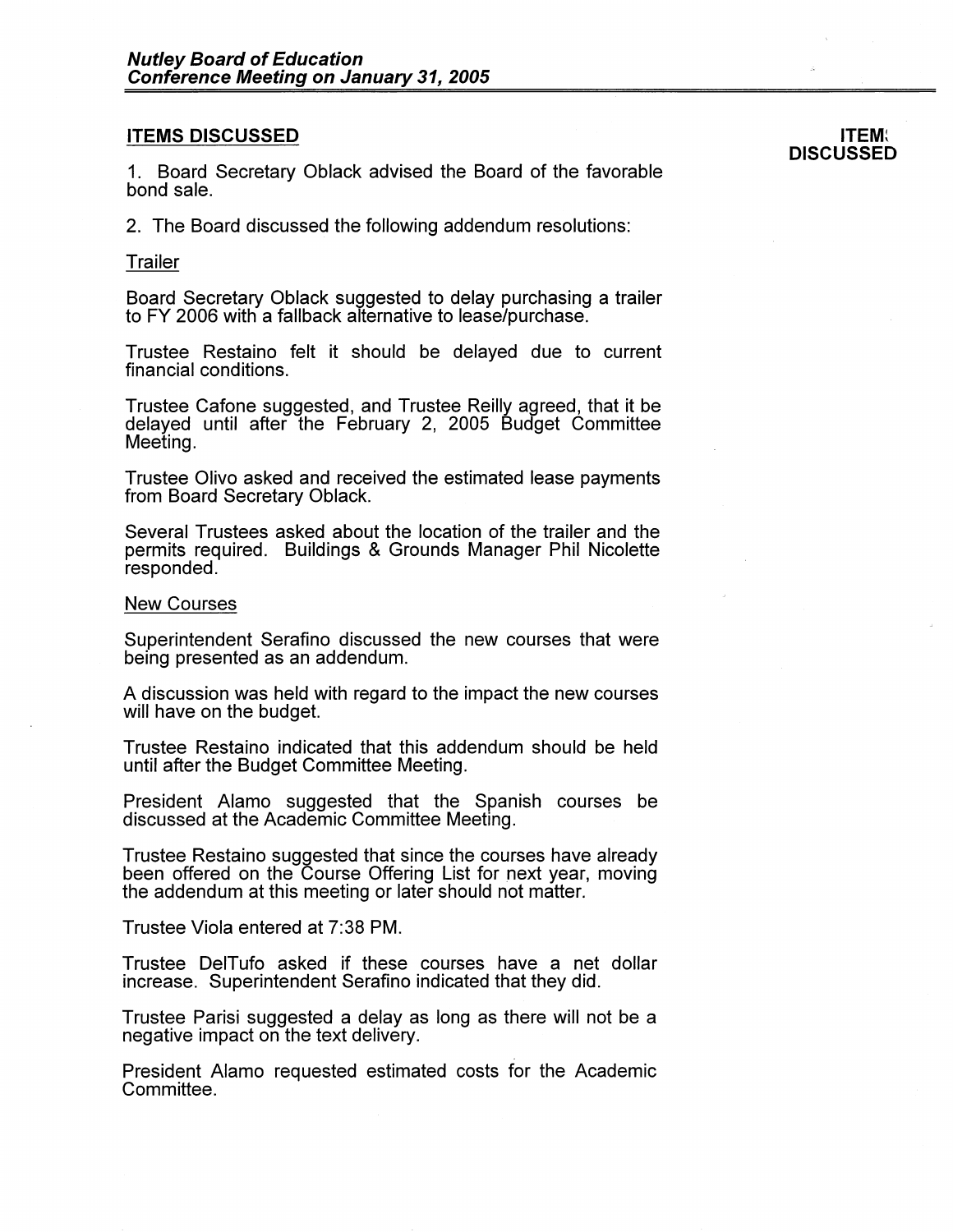## **ITEMS DISCUSSED**

1. Board Secretary Oblack advised the Board of the favorable bond sale.

2. The Board discussed the following addendum resolutions:

### Trailer

Board Secretary Oblack suggested to delay purchasing a trailer to FY 2006 with a tailback alternative to lease/purchase.

Trustee Restaino felt it should be delayed due to current financial conditions.

Trustee Catone suggested, and Trustee Reilly agreed, that it be delayed until after the February 2, 2005 Budget Committee Meeting.

Trustee Olivo asked and received the estimated lease payments from Board Secretary Oblack.

Several Trustees asked about the location of the trailer and the permits required. Buildings & Grounds Manager Phil Nicolette responded.

#### New Courses

Superintendent Serafino discussed the new courses that were being presented as an addendum.

A discussion was held with regard to the impact the new courses will have on the budget.

Trustee Restaino indicated that this addendum should be held until after the Budget Committee Meeting.

President Alamo suggested that the Spanish courses be discussed at the Academic Committee Meeting.

Trustee Restaino suggested that since the courses have already been offered on the Course Offering List for next year, moving the addendum at this meeting or later should not matter.

Trustee Viola entered at 7:38 PM.

Trustee DelTufo asked if these courses have a net dollar increase. Superintendent Serafino indicated that they did.

Trustee Parisi suggested a delay as long as there will not be a negative impact on the text delivery.

President Alamo requested estimated costs for the Academic Committee.

**ITEM~ DISCUSSED**